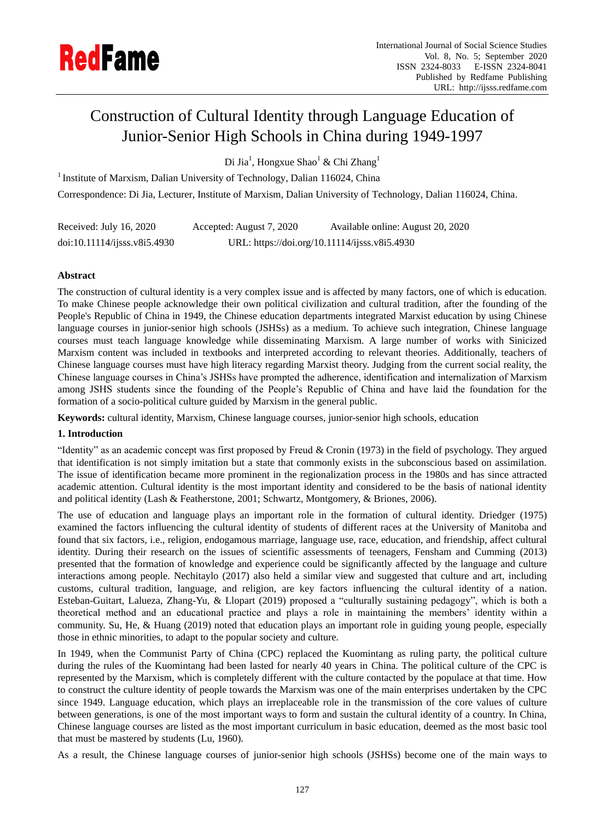

# Construction of Cultural Identity through Language Education of Junior-Senior High Schools in China during 1949-1997

Di Jia<sup>1</sup>, Hongxue Shao<sup>1</sup> & Chi Zhang<sup>1</sup>

<sup>1</sup> Institute of Marxism, Dalian University of Technology, Dalian 116024, China

Correspondence: Di Jia, Lecturer, Institute of Marxism, Dalian University of Technology, Dalian 116024, China.

| Received: July 16, 2020    | Accepted: August 7, 2020 | Available online: August 20, 2020             |
|----------------------------|--------------------------|-----------------------------------------------|
| doi:10.11114/j;ssv8i5.4930 |                          | URL: https://doi.org/10.11114/ijsss.v8i5.4930 |

# **Abstract**

The construction of cultural identity is a very complex issue and is affected by many factors, one of which is education. To make Chinese people acknowledge their own political civilization and cultural tradition, after the founding of the People's Republic of China in 1949, the Chinese education departments integrated Marxist education by using Chinese language courses in junior-senior high schools (JSHSs) as a medium. To achieve such integration, Chinese language courses must teach language knowledge while disseminating Marxism. A large number of works with Sinicized Marxism content was included in textbooks and interpreted according to relevant theories. Additionally, teachers of Chinese language courses must have high literacy regarding Marxist theory. Judging from the current social reality, the Chinese language courses in China"s JSHSs have prompted the adherence, identification and internalization of Marxism among JSHS students since the founding of the People"s Republic of China and have laid the foundation for the formation of a socio-political culture guided by Marxism in the general public.

**Keywords:** cultural identity, Marxism, Chinese language courses, junior-senior high schools, education

# **1. Introduction**

"Identity" as an academic concept was first proposed by Freud & Cronin (1973) in the field of psychology. They argued that identification is not simply imitation but a state that commonly exists in the subconscious based on assimilation. The issue of identification became more prominent in the regionalization process in the 1980s and has since attracted academic attention. Cultural identity is the most important identity and considered to be the basis of national identity and political identity (Lash & Featherstone, 2001; Schwartz, Montgomery, & Briones, 2006).

The use of education and language plays an important role in the formation of cultural identity. Driedger (1975) examined the factors influencing the cultural identity of students of different races at the University of Manitoba and found that six factors, i.e., religion, endogamous marriage, language use, race, education, and friendship, affect cultural identity. During their research on the issues of scientific assessments of teenagers, Fensham and Cumming (2013) presented that the formation of knowledge and experience could be significantly affected by the language and culture interactions among people. Nechitaylo (2017) also held a similar view and suggested that culture and art, including customs, cultural tradition, language, and religion, are key factors influencing the cultural identity of a nation. Esteban-Guitart, Lalueza, Zhang-Yu, & Llopart (2019) proposed a "culturally sustaining pedagogy", which is both a theoretical method and an educational practice and plays a role in maintaining the members" identity within a community. Su, He, & Huang (2019) noted that education plays an important role in guiding young people, especially those in ethnic minorities, to adapt to the popular society and culture.

In 1949, when the Communist Party of China (CPC) replaced the Kuomintang as ruling party, the political culture during the rules of the Kuomintang had been lasted for nearly 40 years in China. The political culture of the CPC is represented by the Marxism, which is completely different with the culture contacted by the populace at that time. How to construct the culture identity of people towards the Marxism was one of the main enterprises undertaken by the CPC since 1949. Language education, which plays an irreplaceable role in the transmission of the core values of culture between generations, is one of the most important ways to form and sustain the cultural identity of a country. In China, Chinese language courses are listed as the most important curriculum in basic education, deemed as the most basic tool that must be mastered by students (Lu, 1960).

As a result, the Chinese language courses of junior-senior high schools (JSHSs) become one of the main ways to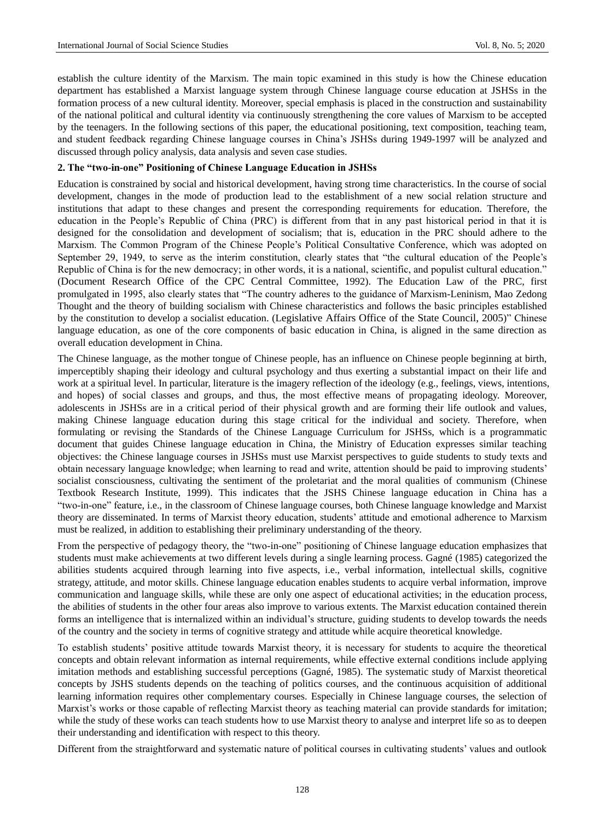establish the culture identity of the Marxism. The main topic examined in this study is how the Chinese education department has established a Marxist language system through Chinese language course education at JSHSs in the formation process of a new cultural identity. Moreover, special emphasis is placed in the construction and sustainability of the national political and cultural identity via continuously strengthening the core values of Marxism to be accepted by the teenagers. In the following sections of this paper, the educational positioning, text composition, teaching team, and student feedback regarding Chinese language courses in China"s JSHSs during 1949-1997 will be analyzed and discussed through policy analysis, data analysis and seven case studies.

#### **2. The "two-in-one" Positioning of Chinese Language Education in JSHSs**

Education is constrained by social and historical development, having strong time characteristics. In the course of social development, changes in the mode of production lead to the establishment of a new social relation structure and institutions that adapt to these changes and present the corresponding requirements for education. Therefore, the education in the People"s Republic of China (PRC) is different from that in any past historical period in that it is designed for the consolidation and development of socialism; that is, education in the PRC should adhere to the Marxism. The Common Program of the Chinese People"s Political Consultative Conference, which was adopted on September 29, 1949, to serve as the interim constitution, clearly states that "the cultural education of the People's Republic of China is for the new democracy; in other words, it is a national, scientific, and populist cultural education." (Document Research Office of the CPC Central Committee, 1992). The Education Law of the PRC, first promulgated in 1995, also clearly states that "The country adheres to the guidance of Marxism-Leninism, Mao Zedong Thought and the theory of building socialism with Chinese characteristics and follows the basic principles established by the constitution to develop a socialist education. (Legislative Affairs Office of the State Council, 2005)" Chinese language education, as one of the core components of basic education in China, is aligned in the same direction as overall education development in China.

The Chinese language, as the mother tongue of Chinese people, has an influence on Chinese people beginning at birth, imperceptibly shaping their ideology and cultural psychology and thus exerting a substantial impact on their life and work at a spiritual level. In particular, literature is the imagery reflection of the ideology (e.g., feelings, views, intentions, and hopes) of social classes and groups, and thus, the most effective means of propagating ideology. Moreover, adolescents in JSHSs are in a critical period of their physical growth and are forming their life outlook and values, making Chinese language education during this stage critical for the individual and society. Therefore, when formulating or revising the Standards of the Chinese Language Curriculum for JSHSs, which is a programmatic document that guides Chinese language education in China, the Ministry of Education expresses similar teaching objectives: the Chinese language courses in JSHSs must use Marxist perspectives to guide students to study texts and obtain necessary language knowledge; when learning to read and write, attention should be paid to improving students" socialist consciousness, cultivating the sentiment of the proletariat and the moral qualities of communism (Chinese Textbook Research Institute, 1999). This indicates that the JSHS Chinese language education in China has a "two-in-one" feature, i.e., in the classroom of Chinese language courses, both Chinese language knowledge and Marxist theory are disseminated. In terms of Marxist theory education, students" attitude and emotional adherence to Marxism must be realized, in addition to establishing their preliminary understanding of the theory.

From the perspective of pedagogy theory, the "two-in-one" positioning of Chinese language education emphasizes that students must make achievements at two different levels during a single learning process. Gagné(1985) categorized the abilities students acquired through learning into five aspects, i.e., verbal information, intellectual skills, cognitive strategy, attitude, and motor skills. Chinese language education enables students to acquire verbal information, improve communication and language skills, while these are only one aspect of educational activities; in the education process, the abilities of students in the other four areas also improve to various extents. The Marxist education contained therein forms an intelligence that is internalized within an individual"s structure, guiding students to develop towards the needs of the country and the society in terms of cognitive strategy and attitude while acquire theoretical knowledge.

To establish students" positive attitude towards Marxist theory, it is necessary for students to acquire the theoretical concepts and obtain relevant information as internal requirements, while effective external conditions include applying imitation methods and establishing successful perceptions (Gagné, 1985). The systematic study of Marxist theoretical concepts by JSHS students depends on the teaching of politics courses, and the continuous acquisition of additional learning information requires other complementary courses. Especially in Chinese language courses, the selection of Marxist's works or those capable of reflecting Marxist theory as teaching material can provide standards for imitation; while the study of these works can teach students how to use Marxist theory to analyse and interpret life so as to deepen their understanding and identification with respect to this theory.

Different from the straightforward and systematic nature of political courses in cultivating students" values and outlook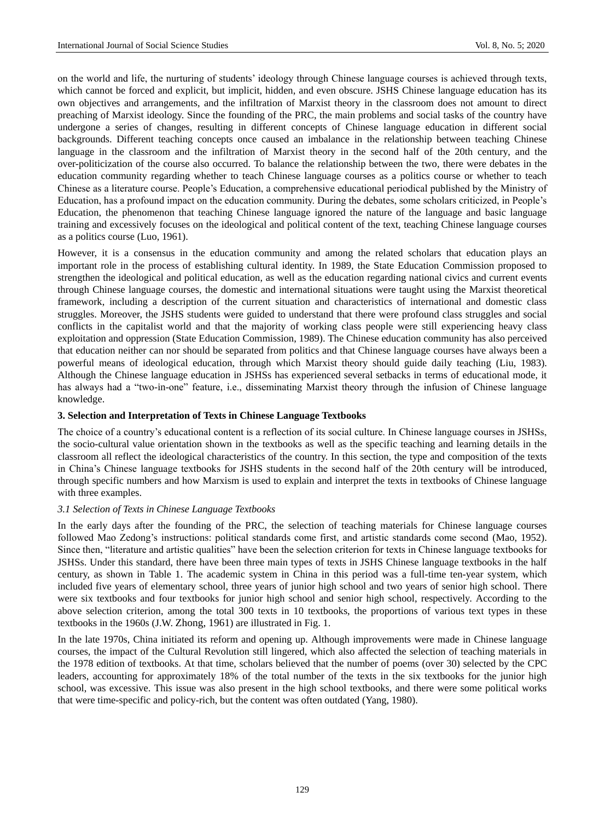on the world and life, the nurturing of students" ideology through Chinese language courses is achieved through texts, which cannot be forced and explicit, but implicit, hidden, and even obscure. JSHS Chinese language education has its own objectives and arrangements, and the infiltration of Marxist theory in the classroom does not amount to direct preaching of Marxist ideology. Since the founding of the PRC, the main problems and social tasks of the country have undergone a series of changes, resulting in different concepts of Chinese language education in different social backgrounds. Different teaching concepts once caused an imbalance in the relationship between teaching Chinese language in the classroom and the infiltration of Marxist theory in the second half of the 20th century, and the over-politicization of the course also occurred. To balance the relationship between the two, there were debates in the education community regarding whether to teach Chinese language courses as a politics course or whether to teach Chinese as a literature course. People"s Education, a comprehensive educational periodical published by the Ministry of Education, has a profound impact on the education community. During the debates, some scholars criticized, in People"s Education, the phenomenon that teaching Chinese language ignored the nature of the language and basic language training and excessively focuses on the ideological and political content of the text, teaching Chinese language courses as a politics course (Luo, 1961).

However, it is a consensus in the education community and among the related scholars that education plays an important role in the process of establishing cultural identity. In 1989, the State Education Commission proposed to strengthen the ideological and political education, as well as the education regarding national civics and current events through Chinese language courses, the domestic and international situations were taught using the Marxist theoretical framework, including a description of the current situation and characteristics of international and domestic class struggles. Moreover, the JSHS students were guided to understand that there were profound class struggles and social conflicts in the capitalist world and that the majority of working class people were still experiencing heavy class exploitation and oppression (State Education Commission, 1989). The Chinese education community has also perceived that education neither can nor should be separated from politics and that Chinese language courses have always been a powerful means of ideological education, through which Marxist theory should guide daily teaching (Liu, 1983). Although the Chinese language education in JSHSs has experienced several setbacks in terms of educational mode, it has always had a "two-in-one" feature, i.e., disseminating Marxist theory through the infusion of Chinese language knowledge.

## **3. Selection and Interpretation of Texts in Chinese Language Textbooks**

The choice of a country"s educational content is a reflection of its social culture. In Chinese language courses in JSHSs, the socio-cultural value orientation shown in the textbooks as well as the specific teaching and learning details in the classroom all reflect the ideological characteristics of the country. In this section, the type and composition of the texts in China"s Chinese language textbooks for JSHS students in the second half of the 20th century will be introduced, through specific numbers and how Marxism is used to explain and interpret the texts in textbooks of Chinese language with three examples.

#### *3.1 Selection of Texts in Chinese Language Textbooks*

In the early days after the founding of the PRC, the selection of teaching materials for Chinese language courses followed Mao Zedong"s instructions: political standards come first, and artistic standards come second (Mao, 1952). Since then, "literature and artistic qualities" have been the selection criterion for texts in Chinese language textbooks for JSHSs. Under this standard, there have been three main types of texts in JSHS Chinese language textbooks in the half century, as shown in Table 1. The academic system in China in this period was a full-time ten-year system, which included five years of elementary school, three years of junior high school and two years of senior high school. There were six textbooks and four textbooks for junior high school and senior high school, respectively. According to the above selection criterion, among the total 300 texts in 10 textbooks, the proportions of various text types in these textbooks in the 1960s (J.W. Zhong, 1961) are illustrated in Fig. 1.

In the late 1970s, China initiated its reform and opening up. Although improvements were made in Chinese language courses, the impact of the Cultural Revolution still lingered, which also affected the selection of teaching materials in the 1978 edition of textbooks. At that time, scholars believed that the number of poems (over 30) selected by the CPC leaders, accounting for approximately 18% of the total number of the texts in the six textbooks for the junior high school, was excessive. This issue was also present in the high school textbooks, and there were some political works that were time-specific and policy-rich, but the content was often outdated (Yang, 1980).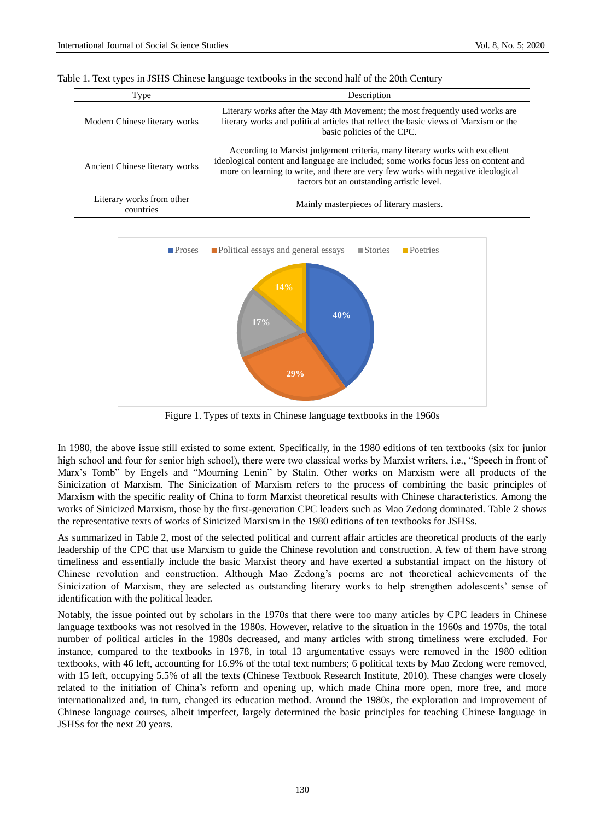Table 1. Text types in JSHS Chinese language textbooks in the second half of the 20th Century

| Type                                   | Description                                                                                                                                                                                                                                                                                           |  |  |
|----------------------------------------|-------------------------------------------------------------------------------------------------------------------------------------------------------------------------------------------------------------------------------------------------------------------------------------------------------|--|--|
| Modern Chinese literary works          | Literary works after the May 4th Movement; the most frequently used works are<br>literary works and political articles that reflect the basic views of Marxism or the<br>basic policies of the CPC.                                                                                                   |  |  |
| Ancient Chinese literary works         | According to Marxist judgement criteria, many literary works with excellent<br>ideological content and language are included; some works focus less on content and<br>more on learning to write, and there are very few works with negative ideological<br>factors but an outstanding artistic level. |  |  |
| Literary works from other<br>countries | Mainly masterpieces of literary masters.                                                                                                                                                                                                                                                              |  |  |



Figure 1. Types of texts in Chinese language textbooks in the 1960s

In 1980, the above issue still existed to some extent. Specifically, in the 1980 editions of ten textbooks (six for junior high school and four for senior high school), there were two classical works by Marxist writers, i.e., "Speech in front of Marx"s Tomb" by Engels and "Mourning Lenin" by Stalin. Other works on Marxism were all products of the Sinicization of Marxism. The Sinicization of Marxism refers to the process of combining the basic principles of Marxism with the specific reality of China to form Marxist theoretical results with Chinese characteristics. Among the works of Sinicized Marxism, those by the first-generation CPC leaders such as Mao Zedong dominated. Table 2 shows the representative texts of works of Sinicized Marxism in the 1980 editions of ten textbooks for JSHSs.

As summarized in Table 2, most of the selected political and current affair articles are theoretical products of the early leadership of the CPC that use Marxism to guide the Chinese revolution and construction. A few of them have strong timeliness and essentially include the basic Marxist theory and have exerted a substantial impact on the history of Chinese revolution and construction. Although Mao Zedong"s poems are not theoretical achievements of the Sinicization of Marxism, they are selected as outstanding literary works to help strengthen adolescents' sense of identification with the political leader.

Notably, the issue pointed out by scholars in the 1970s that there were too many articles by CPC leaders in Chinese language textbooks was not resolved in the 1980s. However, relative to the situation in the 1960s and 1970s, the total number of political articles in the 1980s decreased, and many articles with strong timeliness were excluded. For instance, compared to the textbooks in 1978, in total 13 argumentative essays were removed in the 1980 edition textbooks, with 46 left, accounting for 16.9% of the total text numbers; 6 political texts by Mao Zedong were removed, with 15 left, occupying 5.5% of all the texts (Chinese Textbook Research Institute, 2010). These changes were closely related to the initiation of China"s reform and opening up, which made China more open, more free, and more internationalized and, in turn, changed its education method. Around the 1980s, the exploration and improvement of Chinese language courses, albeit imperfect, largely determined the basic principles for teaching Chinese language in JSHSs for the next 20 years.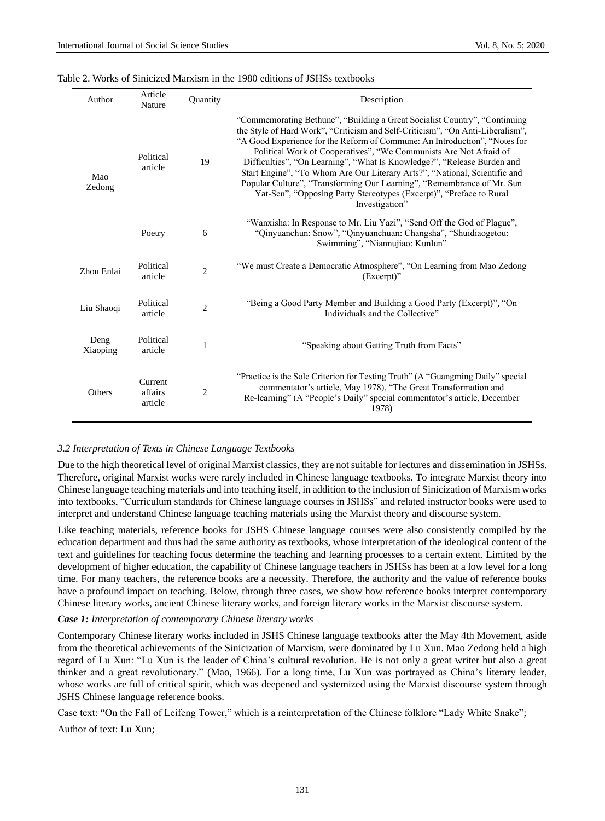| Author           | Article<br>Nature             | Quantity       | Description                                                                                                                                                                                                                                                                                                                                                                                                                                                                                                                                                                                                                                 |  |  |
|------------------|-------------------------------|----------------|---------------------------------------------------------------------------------------------------------------------------------------------------------------------------------------------------------------------------------------------------------------------------------------------------------------------------------------------------------------------------------------------------------------------------------------------------------------------------------------------------------------------------------------------------------------------------------------------------------------------------------------------|--|--|
| Mao<br>Zedong    | Political<br>article          | 19             | "Commemorating Bethune", "Building a Great Socialist Country", "Continuing<br>the Style of Hard Work", "Criticism and Self-Criticism", "On Anti-Liberalism",<br>"A Good Experience for the Reform of Commune: An Introduction", "Notes for<br>Political Work of Cooperatives", "We Communists Are Not Afraid of<br>Difficulties", "On Learning", "What Is Knowledge?", "Release Burden and<br>Start Engine", "To Whom Are Our Literary Arts?", "National, Scientific and<br>Popular Culture", "Transforming Our Learning", "Remembrance of Mr. Sun<br>Yat-Sen", "Opposing Party Stereotypes (Excerpt)", "Preface to Rural<br>Investigation" |  |  |
|                  | Poetry                        | 6              | "Wanxisha: In Response to Mr. Liu Yazi", "Send Off the God of Plague",<br>"Qinyuanchun: Snow", "Qinyuanchuan: Changsha", "Shuidiaogetou:<br>Swimming", "Niannujiao: Kunlun"                                                                                                                                                                                                                                                                                                                                                                                                                                                                 |  |  |
| Zhou Enlai       | Political<br>article          | $\overline{2}$ | "We must Create a Democratic Atmosphere", "On Learning from Mao Zedong<br>$(Except)$ "                                                                                                                                                                                                                                                                                                                                                                                                                                                                                                                                                      |  |  |
| Liu Shaoqi       | Political<br>article          | $\overline{2}$ | "Being a Good Party Member and Building a Good Party (Excerpt)", "On<br>Individuals and the Collective"                                                                                                                                                                                                                                                                                                                                                                                                                                                                                                                                     |  |  |
| Deng<br>Xiaoping | Political<br>article          | $\mathbf{1}$   | "Speaking about Getting Truth from Facts"                                                                                                                                                                                                                                                                                                                                                                                                                                                                                                                                                                                                   |  |  |
| Others           | Current<br>affairs<br>article | $\overline{c}$ | "Practice is the Sole Criterion for Testing Truth" (A "Guangming Daily" special<br>commentator's article, May 1978), "The Great Transformation and<br>Re-learning" (A "People's Daily" special commentator's article, December<br>1978)                                                                                                                                                                                                                                                                                                                                                                                                     |  |  |

#### Table 2. Works of Sinicized Marxism in the 1980 editions of JSHSs textbooks

#### *3.2 Interpretation of Texts in Chinese Language Textbooks*

Due to the high theoretical level of original Marxist classics, they are not suitable for lectures and dissemination in JSHSs. Therefore, original Marxist works were rarely included in Chinese language textbooks. To integrate Marxist theory into Chinese language teaching materials and into teaching itself, in addition to the inclusion of Sinicization of Marxism works into textbooks, "Curriculum standards for Chinese language courses in JSHSs" and related instructor books were used to interpret and understand Chinese language teaching materials using the Marxist theory and discourse system.

Like teaching materials, reference books for JSHS Chinese language courses were also consistently compiled by the education department and thus had the same authority as textbooks, whose interpretation of the ideological content of the text and guidelines for teaching focus determine the teaching and learning processes to a certain extent. Limited by the development of higher education, the capability of Chinese language teachers in JSHSs has been at a low level for a long time. For many teachers, the reference books are a necessity. Therefore, the authority and the value of reference books have a profound impact on teaching. Below, through three cases, we show how reference books interpret contemporary Chinese literary works, ancient Chinese literary works, and foreign literary works in the Marxist discourse system.

#### *Case 1: Interpretation of contemporary Chinese literary works*

Contemporary Chinese literary works included in JSHS Chinese language textbooks after the May 4th Movement, aside from the theoretical achievements of the Sinicization of Marxism, were dominated by Lu Xun. Mao Zedong held a high regard of Lu Xun: "Lu Xun is the leader of China"s cultural revolution. He is not only a great writer but also a great thinker and a great revolutionary." (Mao, 1966). For a long time, Lu Xun was portrayed as China"s literary leader, whose works are full of critical spirit, which was deepened and systemized using the Marxist discourse system through JSHS Chinese language reference books.

Case text: "On the Fall of Leifeng Tower," which is a reinterpretation of the Chinese folklore "Lady White Snake";

Author of text: Lu Xun;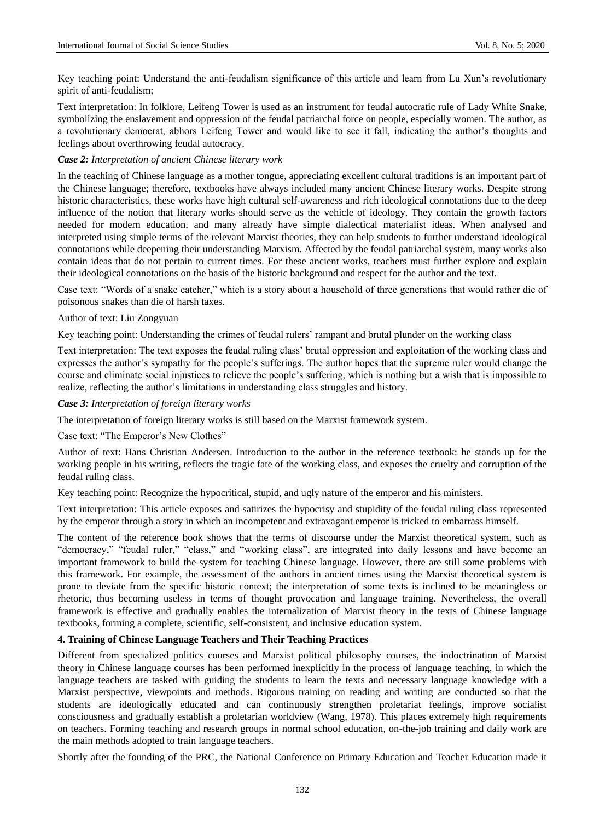Key teaching point: Understand the anti-feudalism significance of this article and learn from Lu Xun"s revolutionary spirit of anti-feudalism;

Text interpretation: In folklore, Leifeng Tower is used as an instrument for feudal autocratic rule of Lady White Snake, symbolizing the enslavement and oppression of the feudal patriarchal force on people, especially women. The author, as a revolutionary democrat, abhors Leifeng Tower and would like to see it fall, indicating the author"s thoughts and feelings about overthrowing feudal autocracy.

## *Case 2: Interpretation of ancient Chinese literary work*

In the teaching of Chinese language as a mother tongue, appreciating excellent cultural traditions is an important part of the Chinese language; therefore, textbooks have always included many ancient Chinese literary works. Despite strong historic characteristics, these works have high cultural self-awareness and rich ideological connotations due to the deep influence of the notion that literary works should serve as the vehicle of ideology. They contain the growth factors needed for modern education, and many already have simple dialectical materialist ideas. When analysed and interpreted using simple terms of the relevant Marxist theories, they can help students to further understand ideological connotations while deepening their understanding Marxism. Affected by the feudal patriarchal system, many works also contain ideas that do not pertain to current times. For these ancient works, teachers must further explore and explain their ideological connotations on the basis of the historic background and respect for the author and the text.

Case text: "Words of a snake catcher," which is a story about a household of three generations that would rather die of poisonous snakes than die of harsh taxes.

#### Author of text: Liu Zongyuan

Key teaching point: Understanding the crimes of feudal rulers" rampant and brutal plunder on the working class

Text interpretation: The text exposes the feudal ruling class" brutal oppression and exploitation of the working class and expresses the author"s sympathy for the people"s sufferings. The author hopes that the supreme ruler would change the course and eliminate social injustices to relieve the people"s suffering, which is nothing but a wish that is impossible to realize, reflecting the author"s limitations in understanding class struggles and history.

#### *Case 3: Interpretation of foreign literary works*

The interpretation of foreign literary works is still based on the Marxist framework system.

Case text: "The Emperor's New Clothes"

Author of text: Hans Christian Andersen. Introduction to the author in the reference textbook: he stands up for the working people in his writing, reflects the tragic fate of the working class, and exposes the cruelty and corruption of the feudal ruling class.

Key teaching point: Recognize the hypocritical, stupid, and ugly nature of the emperor and his ministers.

Text interpretation: This article exposes and satirizes the hypocrisy and stupidity of the feudal ruling class represented by the emperor through a story in which an incompetent and extravagant emperor is tricked to embarrass himself.

The content of the reference book shows that the terms of discourse under the Marxist theoretical system, such as "democracy," "feudal ruler," "class," and "working class", are integrated into daily lessons and have become an important framework to build the system for teaching Chinese language. However, there are still some problems with this framework. For example, the assessment of the authors in ancient times using the Marxist theoretical system is prone to deviate from the specific historic context; the interpretation of some texts is inclined to be meaningless or rhetoric, thus becoming useless in terms of thought provocation and language training. Nevertheless, the overall framework is effective and gradually enables the internalization of Marxist theory in the texts of Chinese language textbooks, forming a complete, scientific, self-consistent, and inclusive education system.

#### **4. Training of Chinese Language Teachers and Their Teaching Practices**

Different from specialized politics courses and Marxist political philosophy courses, the indoctrination of Marxist theory in Chinese language courses has been performed inexplicitly in the process of language teaching, in which the language teachers are tasked with guiding the students to learn the texts and necessary language knowledge with a Marxist perspective, viewpoints and methods. Rigorous training on reading and writing are conducted so that the students are ideologically educated and can continuously strengthen proletariat feelings, improve socialist consciousness and gradually establish a proletarian worldview (Wang, 1978). This places extremely high requirements on teachers. Forming teaching and research groups in normal school education, on-the-job training and daily work are the main methods adopted to train language teachers.

Shortly after the founding of the PRC, the National Conference on Primary Education and Teacher Education made it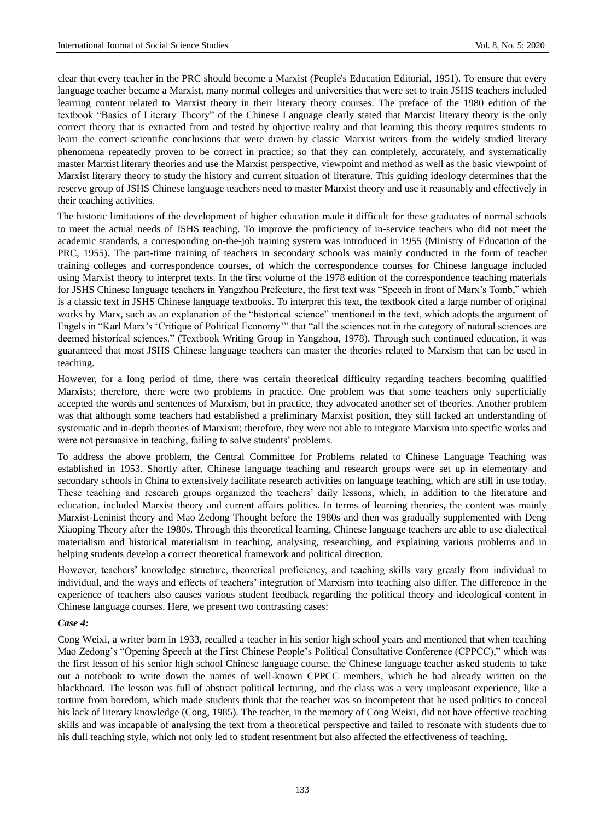clear that every teacher in the PRC should become a Marxist (People's Education Editorial, 1951). To ensure that every language teacher became a Marxist, many normal colleges and universities that were set to train JSHS teachers included learning content related to Marxist theory in their literary theory courses. The preface of the 1980 edition of the textbook "Basics of Literary Theory" of the Chinese Language clearly stated that Marxist literary theory is the only correct theory that is extracted from and tested by objective reality and that learning this theory requires students to learn the correct scientific conclusions that were drawn by classic Marxist writers from the widely studied literary phenomena repeatedly proven to be correct in practice; so that they can completely, accurately, and systematically master Marxist literary theories and use the Marxist perspective, viewpoint and method as well as the basic viewpoint of Marxist literary theory to study the history and current situation of literature. This guiding ideology determines that the reserve group of JSHS Chinese language teachers need to master Marxist theory and use it reasonably and effectively in their teaching activities.

The historic limitations of the development of higher education made it difficult for these graduates of normal schools to meet the actual needs of JSHS teaching. To improve the proficiency of in-service teachers who did not meet the academic standards, a corresponding on-the-job training system was introduced in 1955 (Ministry of Education of the PRC, 1955). The part-time training of teachers in secondary schools was mainly conducted in the form of teacher training colleges and correspondence courses, of which the correspondence courses for Chinese language included using Marxist theory to interpret texts. In the first volume of the 1978 edition of the correspondence teaching materials for JSHS Chinese language teachers in Yangzhou Prefecture, the first text was "Speech in front of Marx"s Tomb," which is a classic text in JSHS Chinese language textbooks. To interpret this text, the textbook cited a large number of original works by Marx, such as an explanation of the "historical science" mentioned in the text, which adopts the argument of Engels in "Karl Marx"s "Critique of Political Economy"" that "all the sciences not in the category of natural sciences are deemed historical sciences." (Textbook Writing Group in Yangzhou, 1978). Through such continued education, it was guaranteed that most JSHS Chinese language teachers can master the theories related to Marxism that can be used in teaching.

However, for a long period of time, there was certain theoretical difficulty regarding teachers becoming qualified Marxists; therefore, there were two problems in practice. One problem was that some teachers only superficially accepted the words and sentences of Marxism, but in practice, they advocated another set of theories. Another problem was that although some teachers had established a preliminary Marxist position, they still lacked an understanding of systematic and in-depth theories of Marxism; therefore, they were not able to integrate Marxism into specific works and were not persuasive in teaching, failing to solve students' problems.

To address the above problem, the Central Committee for Problems related to Chinese Language Teaching was established in 1953. Shortly after, Chinese language teaching and research groups were set up in elementary and secondary schools in China to extensively facilitate research activities on language teaching, which are still in use today. These teaching and research groups organized the teachers" daily lessons, which, in addition to the literature and education, included Marxist theory and current affairs politics. In terms of learning theories, the content was mainly Marxist-Leninist theory and Mao Zedong Thought before the 1980s and then was gradually supplemented with Deng Xiaoping Theory after the 1980s. Through this theoretical learning, Chinese language teachers are able to use dialectical materialism and historical materialism in teaching, analysing, researching, and explaining various problems and in helping students develop a correct theoretical framework and political direction.

However, teachers" knowledge structure, theoretical proficiency, and teaching skills vary greatly from individual to individual, and the ways and effects of teachers' integration of Marxism into teaching also differ. The difference in the experience of teachers also causes various student feedback regarding the political theory and ideological content in Chinese language courses. Here, we present two contrasting cases:

## *Case 4:*

Cong Weixi, a writer born in 1933, recalled a teacher in his senior high school years and mentioned that when teaching Mao Zedong"s "Opening Speech at the First Chinese People"s Political Consultative Conference (CPPCC)," which was the first lesson of his senior high school Chinese language course, the Chinese language teacher asked students to take out a notebook to write down the names of well-known CPPCC members, which he had already written on the blackboard. The lesson was full of abstract political lecturing, and the class was a very unpleasant experience, like a torture from boredom, which made students think that the teacher was so incompetent that he used politics to conceal his lack of literary knowledge (Cong, 1985). The teacher, in the memory of Cong Weixi, did not have effective teaching skills and was incapable of analysing the text from a theoretical perspective and failed to resonate with students due to his dull teaching style, which not only led to student resentment but also affected the effectiveness of teaching.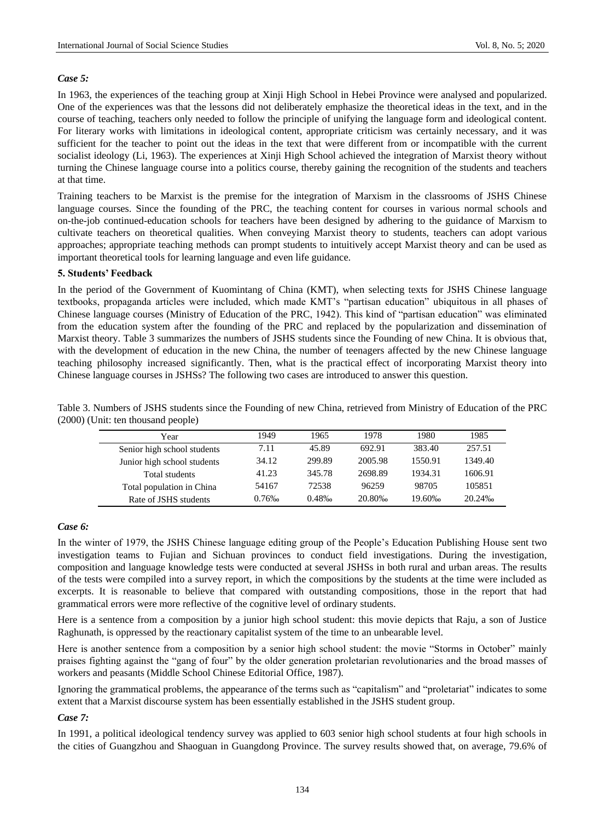## *Case 5:*

In 1963, the experiences of the teaching group at Xinji High School in Hebei Province were analysed and popularized. One of the experiences was that the lessons did not deliberately emphasize the theoretical ideas in the text, and in the course of teaching, teachers only needed to follow the principle of unifying the language form and ideological content. For literary works with limitations in ideological content, appropriate criticism was certainly necessary, and it was sufficient for the teacher to point out the ideas in the text that were different from or incompatible with the current socialist ideology (Li, 1963). The experiences at Xinji High School achieved the integration of Marxist theory without turning the Chinese language course into a politics course, thereby gaining the recognition of the students and teachers at that time.

Training teachers to be Marxist is the premise for the integration of Marxism in the classrooms of JSHS Chinese language courses. Since the founding of the PRC, the teaching content for courses in various normal schools and on-the-job continued-education schools for teachers have been designed by adhering to the guidance of Marxism to cultivate teachers on theoretical qualities. When conveying Marxist theory to students, teachers can adopt various approaches; appropriate teaching methods can prompt students to intuitively accept Marxist theory and can be used as important theoretical tools for learning language and even life guidance.

## **5. Students' Feedback**

In the period of the Government of Kuomintang of China (KMT), when selecting texts for JSHS Chinese language textbooks, propaganda articles were included, which made KMT"s "partisan education" ubiquitous in all phases of Chinese language courses (Ministry of Education of the PRC, 1942). This kind of "partisan education" was eliminated from the education system after the founding of the PRC and replaced by the popularization and dissemination of Marxist theory. Table 3 summarizes the numbers of JSHS students since the Founding of new China. It is obvious that, with the development of education in the new China, the number of teenagers affected by the new Chinese language teaching philosophy increased significantly. Then, what is the practical effect of incorporating Marxist theory into Chinese language courses in JSHSs? The following two cases are introduced to answer this question.

Table 3. Numbers of JSHS students since the Founding of new China, retrieved from Ministry of Education of the PRC (2000) (Unit: ten thousand people)

| Year                        | 1949  | 1965   | 1978    | 1980    | 1985      |
|-----------------------------|-------|--------|---------|---------|-----------|
| Senior high school students | 7.11  | 45.89  | 692.91  | 383.40  | 257.51    |
| Junior high school students | 34.12 | 299.89 | 2005.98 | 1550.91 | 1349.40   |
| Total students              | 41.23 | 345.78 | 2698.89 | 1934.31 | 1606.91   |
| Total population in China   | 54167 | 72538  | 96259   | 98705   | 105851    |
| Rate of JSHS students       | 0.76% | 0.48%  | 20.80‰  | 19.60‰  | $20.24\%$ |

#### *Case 6:*

In the winter of 1979, the JSHS Chinese language editing group of the People"s Education Publishing House sent two investigation teams to Fujian and Sichuan provinces to conduct field investigations. During the investigation, composition and language knowledge tests were conducted at several JSHSs in both rural and urban areas. The results of the tests were compiled into a survey report, in which the compositions by the students at the time were included as excerpts. It is reasonable to believe that compared with outstanding compositions, those in the report that had grammatical errors were more reflective of the cognitive level of ordinary students.

Here is a sentence from a composition by a junior high school student: this movie depicts that Raju, a son of Justice Raghunath, is oppressed by the reactionary capitalist system of the time to an unbearable level.

Here is another sentence from a composition by a senior high school student: the movie "Storms in October" mainly praises fighting against the "gang of four" by the older generation proletarian revolutionaries and the broad masses of workers and peasants (Middle School Chinese Editorial Office, 1987).

Ignoring the grammatical problems, the appearance of the terms such as "capitalism" and "proletariat" indicates to some extent that a Marxist discourse system has been essentially established in the JSHS student group.

## *Case 7:*

In 1991, a political ideological tendency survey was applied to 603 senior high school students at four high schools in the cities of Guangzhou and Shaoguan in Guangdong Province. The survey results showed that, on average, 79.6% of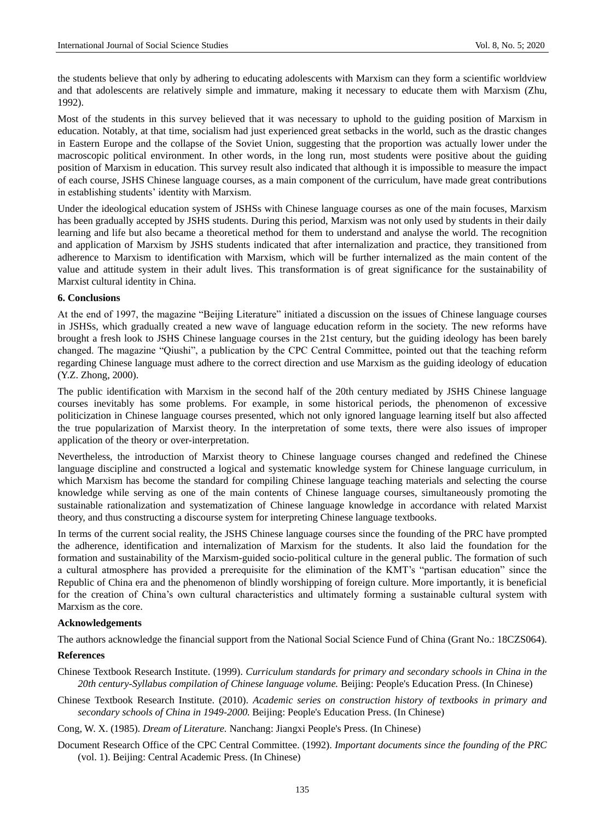the students believe that only by adhering to educating adolescents with Marxism can they form a scientific worldview and that adolescents are relatively simple and immature, making it necessary to educate them with Marxism (Zhu, 1992).

Most of the students in this survey believed that it was necessary to uphold to the guiding position of Marxism in education. Notably, at that time, socialism had just experienced great setbacks in the world, such as the drastic changes in Eastern Europe and the collapse of the Soviet Union, suggesting that the proportion was actually lower under the macroscopic political environment. In other words, in the long run, most students were positive about the guiding position of Marxism in education. This survey result also indicated that although it is impossible to measure the impact of each course, JSHS Chinese language courses, as a main component of the curriculum, have made great contributions in establishing students' identity with Marxism.

Under the ideological education system of JSHSs with Chinese language courses as one of the main focuses, Marxism has been gradually accepted by JSHS students. During this period, Marxism was not only used by students in their daily learning and life but also became a theoretical method for them to understand and analyse the world. The recognition and application of Marxism by JSHS students indicated that after internalization and practice, they transitioned from adherence to Marxism to identification with Marxism, which will be further internalized as the main content of the value and attitude system in their adult lives. This transformation is of great significance for the sustainability of Marxist cultural identity in China.

#### **6. Conclusions**

At the end of 1997, the magazine "Beijing Literature" initiated a discussion on the issues of Chinese language courses in JSHSs, which gradually created a new wave of language education reform in the society. The new reforms have brought a fresh look to JSHS Chinese language courses in the 21st century, but the guiding ideology has been barely changed. The magazine "Qiushi", a publication by the CPC Central Committee, pointed out that the teaching reform regarding Chinese language must adhere to the correct direction and use Marxism as the guiding ideology of education (Y.Z. Zhong, 2000).

The public identification with Marxism in the second half of the 20th century mediated by JSHS Chinese language courses inevitably has some problems. For example, in some historical periods, the phenomenon of excessive politicization in Chinese language courses presented, which not only ignored language learning itself but also affected the true popularization of Marxist theory. In the interpretation of some texts, there were also issues of improper application of the theory or over-interpretation.

Nevertheless, the introduction of Marxist theory to Chinese language courses changed and redefined the Chinese language discipline and constructed a logical and systematic knowledge system for Chinese language curriculum, in which Marxism has become the standard for compiling Chinese language teaching materials and selecting the course knowledge while serving as one of the main contents of Chinese language courses, simultaneously promoting the sustainable rationalization and systematization of Chinese language knowledge in accordance with related Marxist theory, and thus constructing a discourse system for interpreting Chinese language textbooks.

In terms of the current social reality, the JSHS Chinese language courses since the founding of the PRC have prompted the adherence, identification and internalization of Marxism for the students. It also laid the foundation for the formation and sustainability of the Marxism-guided socio-political culture in the general public. The formation of such a cultural atmosphere has provided a prerequisite for the elimination of the KMT"s "partisan education" since the Republic of China era and the phenomenon of blindly worshipping of foreign culture. More importantly, it is beneficial for the creation of China's own cultural characteristics and ultimately forming a sustainable cultural system with Marxism as the core.

#### **Acknowledgements**

The authors acknowledge the financial support from the National Social Science Fund of China (Grant No.: 18CZS064).

## **References**

- Chinese Textbook Research Institute. (1999). *Curriculum standards for primary and secondary schools in China in the 20th century-Syllabus compilation of Chinese language volume.* Beijing: People's Education Press. (In Chinese)
- Chinese Textbook Research Institute. (2010). *Academic series on construction history of textbooks in primary and secondary schools of China in 1949-2000.* Beijing: People's Education Press. (In Chinese)
- Cong, W. X. (1985). *Dream of Literature.* Nanchang: Jiangxi People's Press. (In Chinese)
- Document Research Office of the CPC Central Committee. (1992). *Important documents since the founding of the PRC*  (vol. 1). Beijing: Central Academic Press. (In Chinese)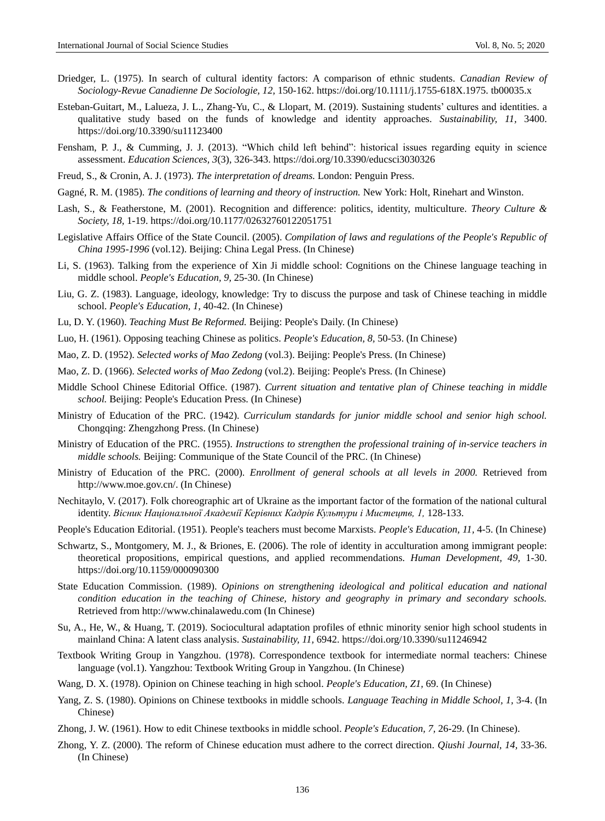- Driedger, L. (1975). In search of cultural identity factors: A comparison of ethnic students. *Canadian Review of Sociology-Revue Canadienne De Sociologie, 12,* 150-162. https://doi.org/10.1111/j.1755-618X.1975. tb00035.x
- Esteban-Guitart, M., Lalueza, J. L., Zhang-Yu, C., & Llopart, M. (2019). Sustaining students" cultures and identities. a qualitative study based on the funds of knowledge and identity approaches. *Sustainability, 11,* 3400. https://doi.org/10.3390/su11123400
- Fensham, P. J., & Cumming, J. J. (2013). "Which child left behind": historical issues regarding equity in science assessment. *Education Sciences, 3*(3), 326-343. https://doi.org/10.3390/educsci3030326
- Freud, S., & Cronin, A. J. (1973). *The interpretation of dreams.* London: Penguin Press.
- Gagné, R. M. (1985). *The conditions of learning and theory of instruction.* New York: Holt, Rinehart and Winston.
- Lash, S., & Featherstone, M. (2001). Recognition and difference: politics, identity, multiculture. *Theory Culture & Society, 18,* 1-19. https://doi.org/10.1177/02632760122051751
- Legislative Affairs Office of the State Council. (2005). *Compilation of laws and regulations of the People's Republic of China 1995-1996* (vol.12). Beijing: China Legal Press. (In Chinese)
- Li, S. (1963). Talking from the experience of Xin Ji middle school: Cognitions on the Chinese language teaching in middle school. *People's Education, 9,* 25-30. (In Chinese)
- Liu, G. Z. (1983). Language, ideology, knowledge: Try to discuss the purpose and task of Chinese teaching in middle school. *People's Education, 1,* 40-42. (In Chinese)
- Lu, D. Y. (1960). *Teaching Must Be Reformed.* Beijing: People's Daily. (In Chinese)
- Luo, H. (1961). Opposing teaching Chinese as politics. *People's Education, 8,* 50-53. (In Chinese)
- Mao, Z. D. (1952). *Selected works of Mao Zedong* (vol.3). Beijing: People's Press. (In Chinese)
- Mao, Z. D. (1966). *Selected works of Mao Zedong* (vol.2). Beijing: People's Press. (In Chinese)
- Middle School Chinese Editorial Office. (1987). *Current situation and tentative plan of Chinese teaching in middle school.* Beijing: People's Education Press. (In Chinese)
- Ministry of Education of the PRC. (1942). *Curriculum standards for junior middle school and senior high school.*  Chongqing: Zhengzhong Press. (In Chinese)
- Ministry of Education of the PRC. (1955). *Instructions to strengthen the professional training of in-service teachers in middle schools.* Beijing: Communique of the State Council of the PRC. (In Chinese)
- Ministry of Education of the PRC. (2000). *Enrollment of general schools at all levels in 2000.* Retrieved from http://www.moe.gov.cn/. (In Chinese)
- Nechitaylo, V. (2017). Folk choreographic art of Ukraine as the important factor of the formation of the national cultural identity. *Вісник Національної Академії Керівних Кадрів Культури і Мистецтв, 1,* 128-133.
- People's Education Editorial. (1951). People's teachers must become Marxists. *People's Education, 11,* 4-5. (In Chinese)
- Schwartz, S., Montgomery, M. J., & Briones, E. (2006). The role of identity in acculturation among immigrant people: theoretical propositions, empirical questions, and applied recommendations. *Human Development, 49,* 1-30. https://doi.org/10.1159/000090300
- State Education Commission. (1989). *Opinions on strengthening ideological and political education and national condition education in the teaching of Chinese, history and geography in primary and secondary schools.*  Retrieved from http://www.chinalawedu.com (In Chinese)
- Su, A., He, W., & Huang, T. (2019). Sociocultural adaptation profiles of ethnic minority senior high school students in mainland China: A latent class analysis. *Sustainability, 11,* 6942. https://doi.org/10.3390/su11246942
- Textbook Writing Group in Yangzhou. (1978). Correspondence textbook for intermediate normal teachers: Chinese language (vol.1). Yangzhou: Textbook Writing Group in Yangzhou. (In Chinese)
- Wang, D. X. (1978). Opinion on Chinese teaching in high school. *People's Education, Z1,* 69. (In Chinese)
- Yang, Z. S. (1980). Opinions on Chinese textbooks in middle schools. *Language Teaching in Middle School, 1,* 3-4. (In Chinese)
- Zhong, J. W. (1961). How to edit Chinese textbooks in middle school. *People's Education, 7,* 26-29. (In Chinese).
- Zhong, Y. Z. (2000). The reform of Chinese education must adhere to the correct direction. *Qiushi Journal, 14,* 33-36. (In Chinese)